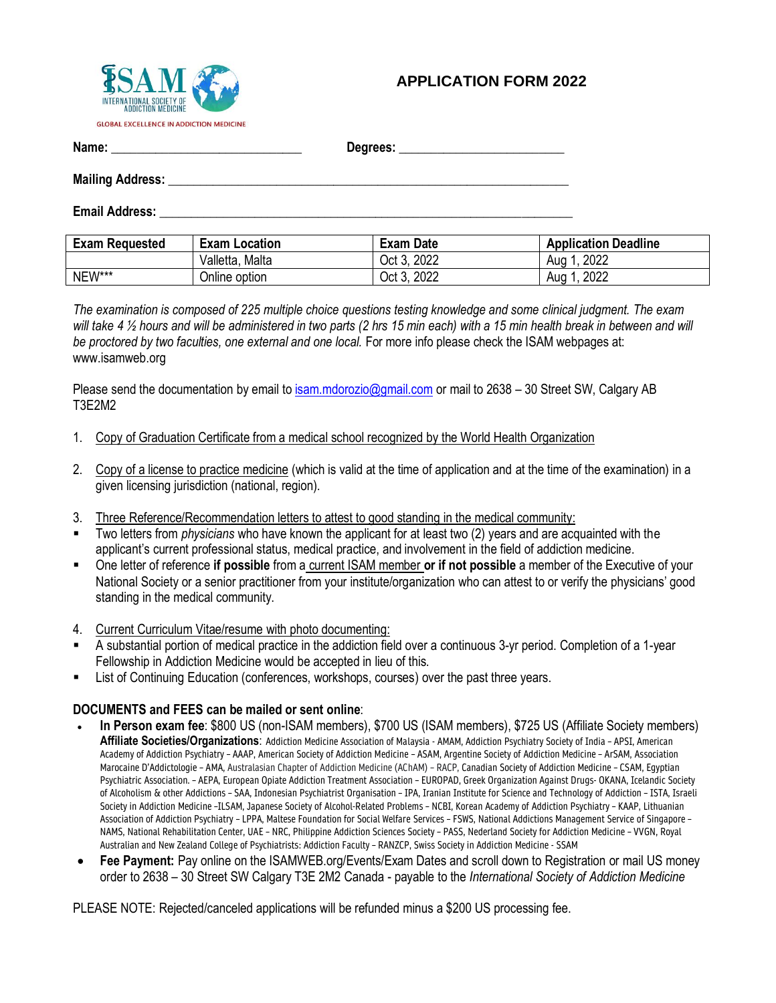

## **APPLICATION FORM 2022**

**Name: \_\_\_\_\_\_\_\_\_\_\_\_\_\_\_\_\_\_\_\_\_\_\_\_\_\_\_\_\_\_ Degrees: \_\_\_\_\_\_\_\_\_\_\_\_\_\_\_\_\_\_\_\_\_\_\_\_\_\_**

#### **Mailing Address: \_\_\_\_\_\_\_\_\_\_\_\_\_\_\_\_\_\_\_\_\_\_\_\_\_\_\_\_\_\_\_\_\_\_\_\_\_\_\_\_\_\_\_\_\_\_\_\_\_\_\_\_\_\_\_\_\_\_\_\_\_\_\_**

**Email Address: Email Address: Email Address: All and Address: All and Address: All and Address: All and Address: All and Address: All and Address: All and Address: All and Address: All and Address:**

| <b>Exam Requested</b> | <b>Exam Location</b> | <b>Exam Date</b> | <b>Application Deadline</b> |
|-----------------------|----------------------|------------------|-----------------------------|
|                       | Valletta, Malta      | Oct 3, 2022      | . 2022<br>Aug 1             |
| NEW***                | Online option        | Oct 3, 2022      | .2022<br>Aua                |

*The examination is composed of 225 multiple choice questions testing knowledge and some clinical judgment. The exam will take 4 ½ hours and will be administered in two parts (2 hrs 15 min each) with a 15 min health break in between and will be proctored by two faculties, one external and one local.* For more info please check the ISAM webpages at: www.isamweb.org

Please send the documentation by email to [isam.mdorozio@gmail.com](mailto:isam.mdorozio@gmail.com) or mail to 2638 – 30 Street SW, Calgary AB T3E2M2

- 1. Copy of Graduation Certificate from a medical school recognized by the World Health Organization
- 2. Copy of a license to practice medicine (which is valid at the time of application and at the time of the examination) in a given licensing jurisdiction (national, region).
- 3. Three Reference/Recommendation letters to attest to good standing in the medical community:
- Two letters from *physicians* who have known the applicant for at least two (2) years and are acquainted with the applicant's current professional status, medical practice, and involvement in the field of addiction medicine.
- One letter of reference **if possible** from a current ISAM member **or if not possible** a member of the Executive of your National Society or a senior practitioner from your institute/organization who can attest to or verify the physicians' good standing in the medical community.
- 4. Current Curriculum Vitae/resume with photo documenting:
- A substantial portion of medical practice in the addiction field over a continuous 3-yr period. Completion of a 1-year Fellowship in Addiction Medicine would be accepted in lieu of this.
- List of Continuing Education (conferences, workshops, courses) over the past three years.

### **DOCUMENTS and FEES can be mailed or sent online**:

- **In Person exam fee**: \$800 US (non-ISAM members), \$700 US (ISAM members), \$725 US (Affiliate Society members) **Affiliate Societies/Organizations**: Addiction Medicine Association of Malaysia - AMAM, Addiction Psychiatry Society of India – APSI, American Academy of Addiction Psychiatry – AAAP, American Society of Addiction Medicine – ASAM, Argentine Society of Addiction Medicine – ArSAM, Association Marocaine D'Addictologie – AMA, Australasian Chapter of Addiction Medicine (AChAM) – RACP, Canadian Society of Addiction Medicine – CSAM, Egyptian Psychiatric Association. – AEPA, European Opiate Addiction Treatment Association – EUROPAD, Greek Organization Against Drugs- OKANA, Icelandic Society of Alcoholism & other Addictions – SAA, Indonesian Psychiatrist Organisation – IPA, Iranian Institute for Science and Technology of Addiction – ISTA, Israeli Society in Addiction Medicine –ILSAM, Japanese Society of Alcohol-Related Problems – NCBI, Korean Academy of Addiction Psychiatry – KAAP, Lithuanian Association of Addiction Psychiatry – LPPA, Maltese Foundation for Social Welfare Services – FSWS, National Addictions Management Service of Singapore – NAMS, National Rehabilitation Center, UAE – NRC, Philippine Addiction Sciences Society – PASS, Nederland Society for Addiction Medicine – VVGN, Royal Australian and New Zealand College of Psychiatrists: Addiction Faculty – RANZCP, Swiss Society in Addiction Medicine - SSAM
- **Fee Payment:** Pay online on the ISAMWEB.org/Events/Exam Dates and scroll down to Registration or mail US money order to 2638 – 30 Street SW Calgary T3E 2M2 Canada - payable to the *International Society of Addiction Medicine*

PLEASE NOTE: Rejected/canceled applications will be refunded minus a \$200 US processing fee.